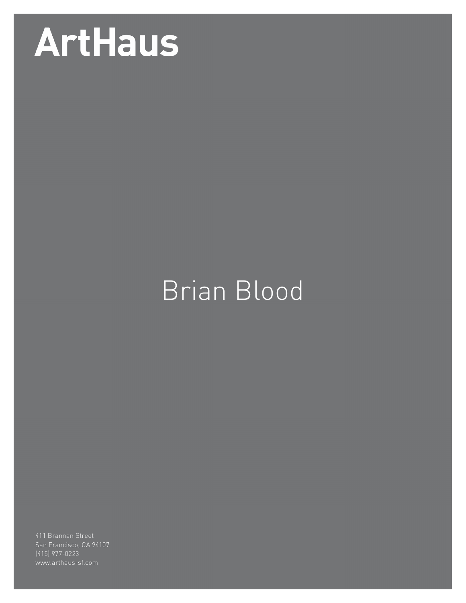## **ArtHaus**

## Brian Blood

(415) 977-0223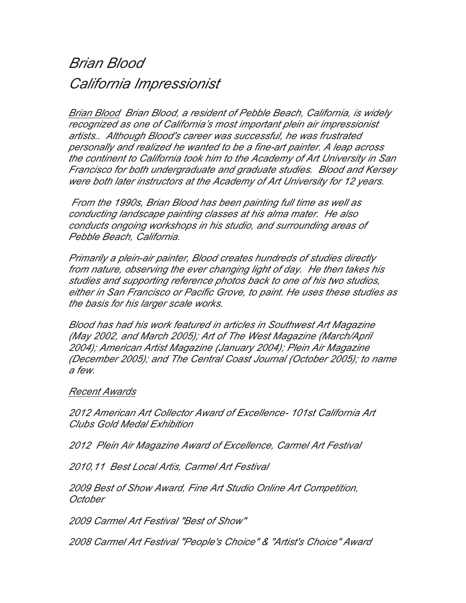## *Brian Blood California Impressionist*

*Brian Blood Brian Blood, a resident of Pebble Beach, California, is widely recognized as one of California's most important plein air impressionist artists.. Although Blood's career was successful, he was frustrated personally and realized he wanted to be a fine-art painter. A leap across the continent to California took him to the Academy of Art University in San Francisco for both undergraduate and graduate studies. Blood and Kersey were both later instructors at the Academy of Art University for 12 years.*

*From the 1990s, Brian Blood has been painting full time as well as conducting landscape painting classes at his alma mater. He also conducts ongoing workshops in his studio, and surrounding areas of Pebble Beach, California.*

*Primarily a plein-air painter, Blood creates hundreds of studies directly from nature, observing the ever changing light of day. He then takes his studies and supporting reference photos back to one of his two studios, either in San Francisco or Pacific Grove, to paint. He uses these studies as the basis for his larger scale works.*

*Blood has had his work featured in articles in Southwest Art Magazine (May 2002, and March 2005); Art of The West Magazine (March/April 2004); American Artist Magazine (January 2004); Plein Air Magazine (December 2005); and The Central Coast Journal (October 2005); to name a few.*

## *Recent Awards*

*2012 American Art Collector Award of Excellence- 101st California Art Clubs Gold Medal Exhibition*

*2012 Plein Air Magazine Award of Excellence, Carmel Art Festival*

*2010,11 Best Local Artis, Carmel Art Festival*

*2009 Best of Show Award, Fine Art Studio Online Art Competition, October*

*2009 Carmel Art Festival "Best of Show"*

*2008 Carmel Art Festival "People's Choice" & "Artist's Choice" Award*